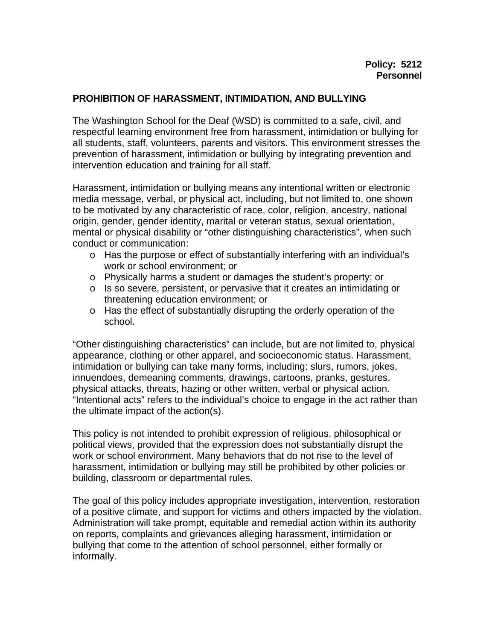## **PROHIBITION OF HARASSMENT, INTIMIDATION, AND BULLYING**

The Washington School for the Deaf (WSD) is committed to a safe, civil, and respectful learning environment free from harassment, intimidation or bullying for all students, staff, volunteers, parents and visitors. This environment stresses the prevention of harassment, intimidation or bullying by integrating prevention and intervention education and training for all staff.

Harassment, intimidation or bullying means any intentional written or electronic media message, verbal, or physical act, including, but not limited to, one shown to be motivated by any characteristic of race, color, religion, ancestry, national origin, gender, gender identity, marital or veteran status, sexual orientation, mental or physical disability or "other distinguishing characteristics", when such conduct or communication:

- o Has the purpose or effect of substantially interfering with an individual's work or school environment; or
- o Physically harms a student or damages the student's property; or
- o Is so severe, persistent, or pervasive that it creates an intimidating or threatening education environment; or
- o Has the effect of substantially disrupting the orderly operation of the school.

"Other distinguishing characteristics" can include, but are not limited to, physical appearance, clothing or other apparel, and socioeconomic status. Harassment, intimidation or bullying can take many forms, including: slurs, rumors, jokes, innuendoes, demeaning comments, drawings, cartoons, pranks, gestures, physical attacks, threats, hazing or other written, verbal or physical action. "Intentional acts" refers to the individual's choice to engage in the act rather than the ultimate impact of the action(s).

This policy is not intended to prohibit expression of religious, philosophical or political views, provided that the expression does not substantially disrupt the work or school environment. Many behaviors that do not rise to the level of harassment, intimidation or bullying may still be prohibited by other policies or building, classroom or departmental rules.

The goal of this policy includes appropriate investigation, intervention, restoration of a positive climate, and support for victims and others impacted by the violation. Administration will take prompt, equitable and remedial action within its authority on reports, complaints and grievances alleging harassment, intimidation or bullying that come to the attention of school personnel, either formally or informally.